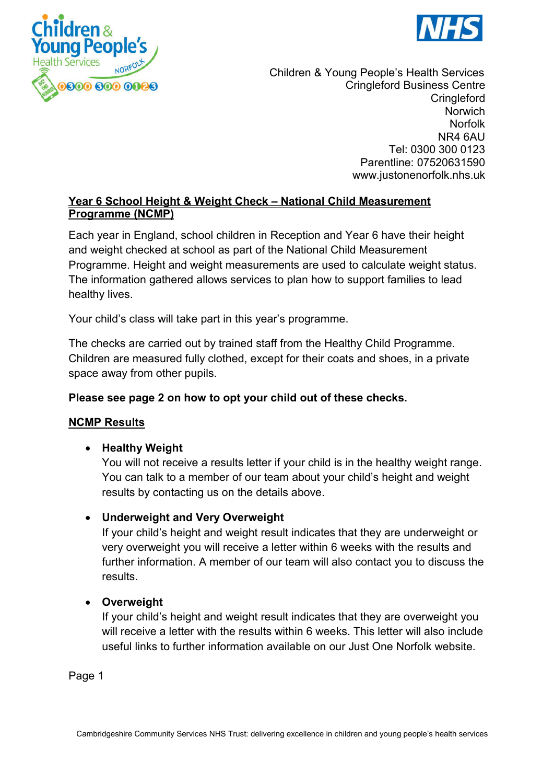



Children & Young People's Health Services Cringleford Business Centre **Cringleford Norwich** Norfolk NR4 6AU Tel: 0300 300 0123 Parentline: 07520631590 www.justonenorfolk.nhs.uk

## **Year 6 School Height & Weight Check – National Child Measurement Programme (NCMP)**

Each year in England, school children in Reception and Year 6 have their height and weight checked at school as part of the National Child Measurement Programme. Height and weight measurements are used to calculate weight status. The information gathered allows services to plan how to support families to lead healthy lives.

Your child's class will take part in this year's programme.

The checks are carried out by trained staff from the Healthy Child Programme. Children are measured fully clothed, except for their coats and shoes, in a private space away from other pupils.

## **Please see page 2 on how to opt your child out of these checks.**

#### **NCMP Results**

## **•** Healthy Weight

You will not receive a results letter if your child is in the healthy weight range. You can talk to a member of our team about your child's height and weight results by contacting us on the details above.

## **Underweight and Very Overweight**

If your child's height and weight result indicates that they are underweight or very overweight you will receive a letter within 6 weeks with the results and further information. A member of our team will also contact you to discuss the results.

#### **Overweight**

If your child's height and weight result indicates that they are overweight you will receive a letter with the results within 6 weeks. This letter will also include useful links to further information available on our Just One Norfolk website.

Page 1